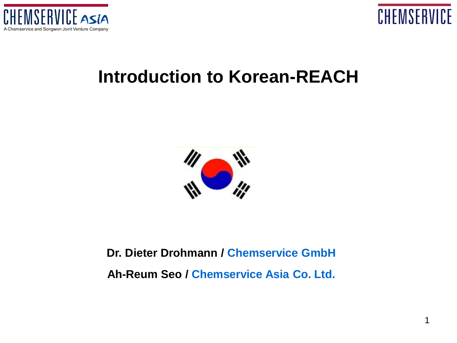



#### **Introduction to Korean-REACH**



#### **Dr. Dieter Drohmann / Chemservice GmbH Ah-Reum Seo / Chemservice Asia Co. Ltd.**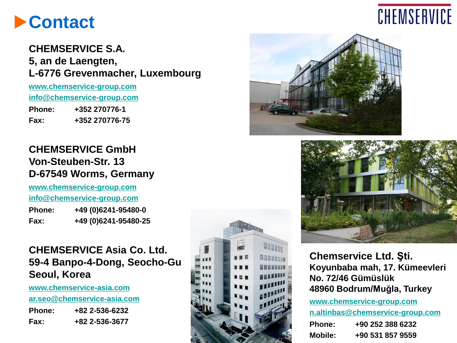#### **Contact**

#### **CHEMSERVICE S.A. 5, an de Laengten, L-6776 Grevenmacher, Luxembourg**

**[www.chemservice-group.com](http://www.chemservice-group.com/) [info@chemservice-group.com](mailto:info@chemservice-group.com) Phone: +352 270776-1 Fax: +352 270776-75**

#### **CHEMSERVICE GmbH Von-Steuben-Str. 13 D-67549 Worms, Germany**

**[www.chemservice-group.com](http://www.chemservice-group.com/) [info@chemservice-group.com](mailto:info@chemservice-group.com)**

| <b>Phone:</b> | +49 (0) 6241-95480-0 |
|---------------|----------------------|
| Fax:          | +49 (0)6241-95480-25 |

#### **CHEMSERVICE Asia Co. Ltd. 59-4 Banpo-4-Dong, Seocho-Gu Seoul, Korea**

**[www.chemservice-asia.com](http://www.chemservice-asia.com/)**

**[ar.seo@chemservice-asia.com](mailto:ar.seo@chemservice-asia.com)**

| <b>Phone:</b> | +82 2-536-6232 |
|---------------|----------------|
| Fax:          | +82 2-536-3677 |









**Chemservice Ltd. Şti. Koyunbaba mah, 17. Kümeevleri No. 72/46 Gümüslük 48960 Bodrum/Muğla, Turkey**

**[www.chemservice-group.com](http://www.chemservice-group.com/) [n.altinbas@chemservice-group.com](mailto:n.altinbas@chemservice-group.com) Phone: +90 252 388 6232 Mobile: +90 531 857 9559**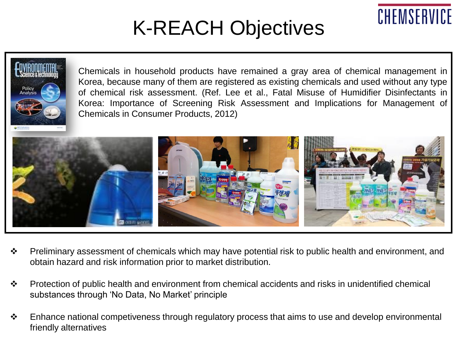# K-REACH Objectives

CHEMSERVICE



- Preliminary assessment of chemicals which may have potential risk to public health and environment, and obtain hazard and risk information prior to market distribution.
- Protection of public health and environment from chemical accidents and risks in unidentified chemical substances through 'No Data, No Market' principle
- $\cdot$  Enhance national competiveness through regulatory process that aims to use and develop environmental friendly alternatives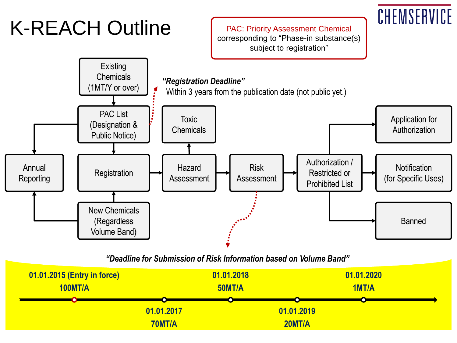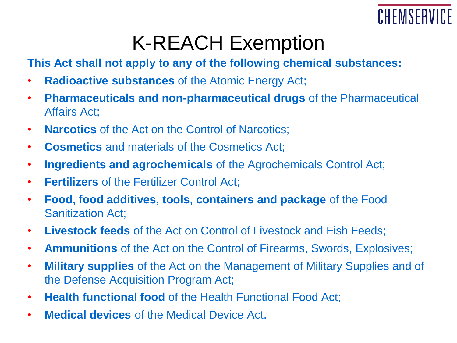

#### K-REACH Exemption

**This Act shall not apply to any of the following chemical substances:**

- **Radioactive substances** of the Atomic Energy Act;
- **Pharmaceuticals and non-pharmaceutical drugs** of the Pharmaceutical Affairs Act;
- **Narcotics** of the Act on the Control of Narcotics;
- **Cosmetics** and materials of the Cosmetics Act;
- **Ingredients and agrochemicals** of the Agrochemicals Control Act;
- **Fertilizers** of the Fertilizer Control Act;
- **Food, food additives, tools, containers and package** of the Food Sanitization Act;
- **Livestock feeds** of the Act on Control of Livestock and Fish Feeds;
- **Ammunitions** of the Act on the Control of Firearms, Swords, Explosives;
- **Military supplies** of the Act on the Management of Military Supplies and of the Defense Acquisition Program Act;
- **Health functional food** of the Health Functional Food Act;
- **Medical devices** of the Medical Device Act.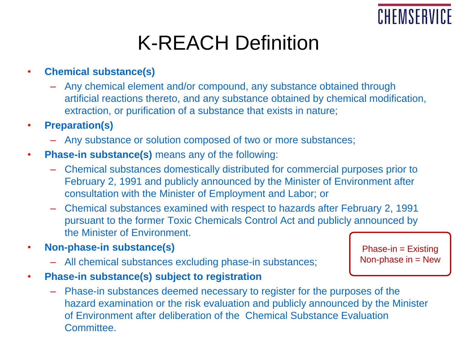

### K-REACH Definition

- **Chemical substance(s)**
	- Any chemical element and/or compound, any substance obtained through artificial reactions thereto, and any substance obtained by chemical modification, extraction, or purification of a substance that exists in nature;
- **Preparation(s)**
	- Any substance or solution composed of two or more substances;
- **Phase-in substance(s)** means any of the following:
	- Chemical substances domestically distributed for commercial purposes prior to February 2, 1991 and publicly announced by the Minister of Environment after consultation with the Minister of Employment and Labor; or
	- Chemical substances examined with respect to hazards after February 2, 1991 pursuant to the former Toxic Chemicals Control Act and publicly announced by the Minister of Environment.
- **Non-phase-in substance(s)**
	- All chemical substances excluding phase-in substances;
- **Phase-in substance(s) subject to registration**
	- Phase-in substances deemed necessary to register for the purposes of the hazard examination or the risk evaluation and publicly announced by the Minister of Environment after deliberation of the Chemical Substance Evaluation Committee.

Phase-in = Existing Non-phase in  $=$  New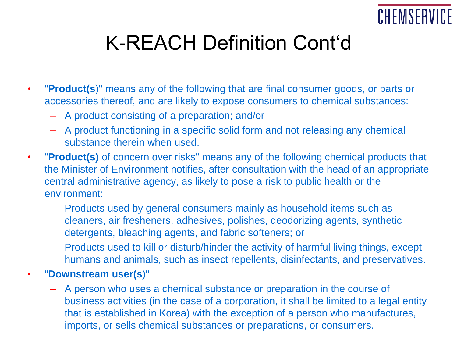

# K-REACH Definition Cont'd

- "**Product(s**)" means any of the following that are final consumer goods, or parts or accessories thereof, and are likely to expose consumers to chemical substances:
	- A product consisting of a preparation; and/or
	- A product functioning in a specific solid form and not releasing any chemical substance therein when used.
- "**Product(s)** of concern over risks" means any of the following chemical products that the Minister of Environment notifies, after consultation with the head of an appropriate central administrative agency, as likely to pose a risk to public health or the environment:
	- Products used by general consumers mainly as household items such as cleaners, air fresheners, adhesives, polishes, deodorizing agents, synthetic detergents, bleaching agents, and fabric softeners; or
	- Products used to kill or disturb/hinder the activity of harmful living things, except humans and animals, such as insect repellents, disinfectants, and preservatives.
- "**Downstream user(s**)"
	- A person who uses a chemical substance or preparation in the course of business activities (in the case of a corporation, it shall be limited to a legal entity that is established in Korea) with the exception of a person who manufactures, imports, or sells chemical substances or preparations, or consumers.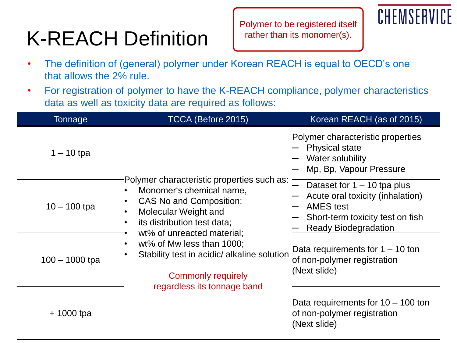# K-REACH Definition

Polymer to be registered itself rather than its monomer(s).

# CHEMSERVI

- The definition of (general) polymer under Korean REACH is equal to OECD's one that allows the 2% rule.
- For registration of polymer to have the K-REACH compliance, polymer characteristics data as well as toxicity data are required as follows:

| Tonnage          | TCCA (Before 2015)                                                                                                                                                                                           | Korean REACH (as of 2015)                                                                                                                          |  |  |
|------------------|--------------------------------------------------------------------------------------------------------------------------------------------------------------------------------------------------------------|----------------------------------------------------------------------------------------------------------------------------------------------------|--|--|
| $1 - 10$ tpa     |                                                                                                                                                                                                              | Polymer characteristic properties<br>$-$ Physical state<br>- Water solubility<br>- Mp, Bp, Vapour Pressure                                         |  |  |
| $10 - 100$ tpa   | Polymer characteristic properties such as:<br>Monomer's chemical name,<br>$\bullet$<br>CAS No and Composition;<br>$\bullet$<br>Molecular Weight and<br>$\bullet$<br>its distribution test data;<br>$\bullet$ | Dataset for $1 - 10$ tpa plus<br>- Acute oral toxicity (inhalation)<br>- AMES test<br>- Short-term toxicity test on fish<br>- Ready Biodegradation |  |  |
| $100 - 1000$ tpa | wt% of unreacted material;<br>wt% of Mw less than 1000;<br>$\bullet$<br>Stability test in acidic/ alkaline solution<br>$\bullet$<br><b>Commonly requirely</b><br>regardless its tonnage band                 | Data requirements for $1 - 10$ ton<br>of non-polymer registration<br>(Next slide)                                                                  |  |  |
| $+$ 1000 tpa     |                                                                                                                                                                                                              | Data requirements for $10 - 100$ ton<br>of non-polymer registration<br>(Next slide)                                                                |  |  |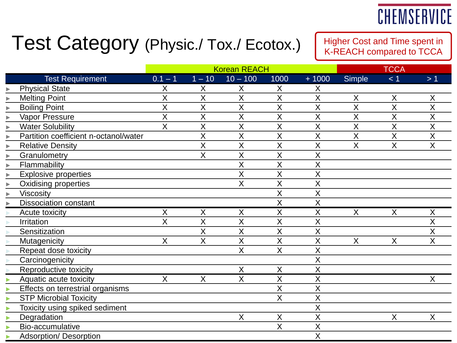#### CHEMSERVICE

#### Test Category (Physic./ Tox./ Ecotox.)

Higher Cost and Time spent in K-REACH compared to TCCA

|                       |                                       | <b>Korean REACH</b>     |                         |                         |                         |                         | <b>TCCA</b>             |                         |                |
|-----------------------|---------------------------------------|-------------------------|-------------------------|-------------------------|-------------------------|-------------------------|-------------------------|-------------------------|----------------|
|                       | <b>Test Requirement</b>               | $0.1 - 1$               | $1 - 10$                | $10 - 100$              | 1000                    | $+1000$                 | <b>Simple</b>           | < 1                     | >1             |
| ь                     | <b>Physical State</b>                 | X                       | Χ                       | X                       | X                       | Χ                       |                         |                         |                |
| $\blacktriangleright$ | <b>Melting Point</b>                  | X                       | X                       | X                       | X                       | Χ                       | $\sf X$                 | X                       | X              |
| ▶                     | <b>Boiling Point</b>                  | X                       | X                       | X                       | $\sf X$                 | X                       | X                       | X                       | X              |
|                       | Vapor Pressure                        | $\overline{\mathsf{X}}$ | $\overline{\mathsf{x}}$ | $\overline{X}$          | $\overline{X}$          | X                       | $\overline{\mathsf{X}}$ | X                       | $\overline{X}$ |
| $\blacktriangleright$ | <b>Water Solubility</b>               | X                       | $\sf X$                 | X                       | $\sf X$                 | X                       | X                       | X                       | $\overline{X}$ |
| $\blacktriangleright$ | Partition coefficient n-octanol/water |                         | X                       | X                       | X                       | X                       | X                       | X                       | X              |
| $\blacktriangleright$ | <b>Relative Density</b>               |                         | $\overline{\mathsf{X}}$ | X                       | $\sf X$                 | X                       | $\sf X$                 | $\overline{\mathsf{X}}$ | X              |
|                       | Granulometry                          |                         | X                       | X                       | X                       | Χ                       |                         |                         |                |
| $\blacktriangleright$ | Flammability                          |                         |                         | X                       | $\sf X$                 | X                       |                         |                         |                |
| $\blacktriangleright$ | <b>Explosive properties</b>           |                         |                         | Χ                       | $\sf X$                 | X                       |                         |                         |                |
| $\blacktriangleright$ | <b>Oxidising properties</b>           |                         |                         | $\sf X$                 | $\sf X$                 | X                       |                         |                         |                |
| $\blacktriangleright$ | Viscosity                             |                         |                         |                         | $\sf X$                 | X                       |                         |                         |                |
|                       | <b>Dissociation constant</b>          |                         |                         |                         | X                       | $\sf X$                 |                         |                         |                |
|                       | Acute toxicity                        | $\overline{\mathsf{X}}$ | X                       | X                       | $\sf X$                 | $\overline{\mathsf{X}}$ | X                       | X                       | X              |
|                       | Irritation                            | $\sf X$                 | X                       | X                       | $\sf X$                 | Χ                       |                         |                         | Χ              |
|                       | Sensitization                         |                         | X                       | X                       | $\overline{\mathsf{X}}$ | X                       |                         |                         | X              |
|                       | Mutagenicity                          | $\sf X$                 | $\sf X$                 | X                       | $\overline{\mathsf{X}}$ | X                       | $\sf X$                 | $\sf X$                 | $\sf X$        |
|                       | Repeat dose toxicity                  |                         |                         | X                       | $\sf X$                 | X                       |                         |                         |                |
|                       | Carcinogenicity                       |                         |                         |                         |                         | X                       |                         |                         |                |
|                       | Reproductive toxicity                 |                         |                         | X                       | $\sf X$                 | X                       |                         |                         |                |
|                       | Aquatic acute toxicity                | X                       | Χ                       | $\overline{\mathsf{X}}$ | X                       | X                       |                         |                         | Χ              |
|                       | Effects on terrestrial organisms      |                         |                         |                         | $\sf X$                 | X                       |                         |                         |                |
|                       | <b>STP Microbial Toxicity</b>         |                         |                         |                         | $\overline{\mathsf{X}}$ | X                       |                         |                         |                |
|                       | Toxicity using spiked sediment        |                         |                         |                         |                         | X                       |                         |                         |                |
|                       | Degradation                           |                         |                         | X                       | X                       | X                       |                         | $\mathsf{X}$            | X              |
|                       | Bio-accumulative                      |                         |                         |                         | $\sf X$                 | X                       |                         |                         |                |
|                       | <b>Adsorption/ Desorption</b>         |                         |                         |                         |                         | X                       |                         |                         |                |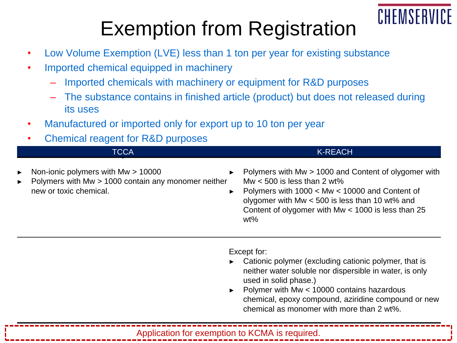### CHEMSERVI

## Exemption from Registration

- Low Volume Exemption (LVE) less than 1 ton per year for existing substance
- Imported chemical equipped in machinery
	- Imported chemicals with machinery or equipment for R&D purposes
	- The substance contains in finished article (product) but does not released during its uses
- Manufactured or imported only for export up to 10 ton per year
- Chamical reagent for R&D purposes

| <b>Priorition reagent for that purposes</b>                                                                                                             |                                                                                                                                                                                                                                                               |
|---------------------------------------------------------------------------------------------------------------------------------------------------------|---------------------------------------------------------------------------------------------------------------------------------------------------------------------------------------------------------------------------------------------------------------|
| <b>TCCA</b>                                                                                                                                             | K-REACH                                                                                                                                                                                                                                                       |
| $\triangleright$ Non-ionic polymers with Mw $> 10000$<br>$\triangleright$ Polymers with Mw > 1000 contain any monomer neither<br>new or toxic chemical. | Polymers with Mw > 1000 and Content of olygomer with<br>Mw $<$ 500 is less than 2 wt%<br>Polymers with $1000 < Mw < 10000$ and Content of<br>olygomer with Mw $<$ 500 is less than 10 wt% and<br>Content of olygomer with Mw < 1000 is less than 25<br>$wt\%$ |

Except for:

- Cationic polymer (excluding cationic polymer, that is neither water soluble nor dispersible in water, is only used in solid phase.)
- ► Polymer with Mw < 10000 contains hazardous chemical, epoxy compound, aziridine compound or new chemical as monomer with more than 2 wt%.

Application for exemption to KCMA is required.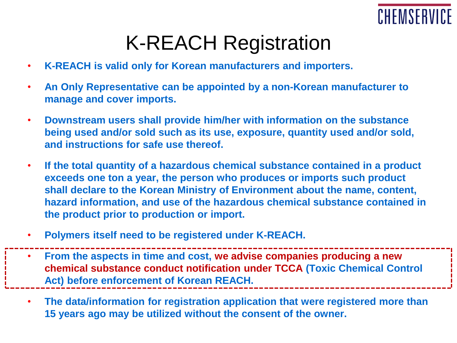

- **K-REACH is valid only for Korean manufacturers and importers.**
- **An Only Representative can be appointed by a non-Korean manufacturer to manage and cover imports.**
- **Downstream users shall provide him/her with information on the substance being used and/or sold such as its use, exposure, quantity used and/or sold, and instructions for safe use thereof.**
- **If the total quantity of a hazardous chemical substance contained in a product exceeds one ton a year, the person who produces or imports such product shall declare to the Korean Ministry of Environment about the name, content, hazard information, and use of the hazardous chemical substance contained in the product prior to production or import.**
- **Polymers itself need to be registered under K-REACH.**

• **From the aspects in time and cost, we advise companies producing a new chemical substance conduct notification under TCCA (Toxic Chemical Control Act) before enforcement of Korean REACH.**

• **The data/information for registration application that were registered more than 15 years ago may be utilized without the consent of the owner.**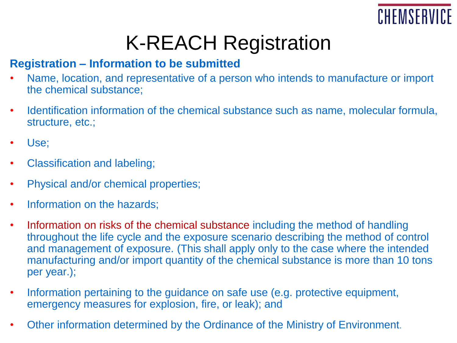

#### **Registration – Information to be submitted**

- Name, location, and representative of a person who intends to manufacture or import the chemical substance;
- Identification information of the chemical substance such as name, molecular formula, structure, etc.;
- Use;
- Classification and labeling;
- Physical and/or chemical properties;
- Information on the hazards;
- Information on risks of the chemical substance including the method of handling throughout the life cycle and the exposure scenario describing the method of control and management of exposure. (This shall apply only to the case where the intended manufacturing and/or import quantity of the chemical substance is more than 10 tons per year.);
- Information pertaining to the guidance on safe use (e.g. protective equipment, emergency measures for explosion, fire, or leak); and
- Other information determined by the Ordinance of the Ministry of Environment.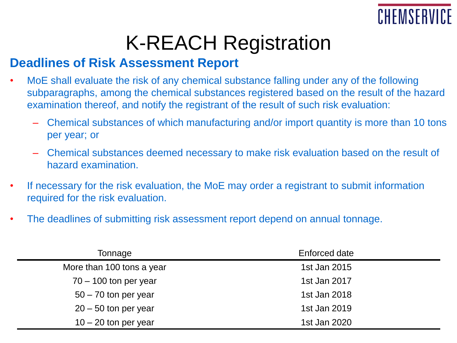

#### **Deadlines of Risk Assessment Report**

- MoE shall evaluate the risk of any chemical substance falling under any of the following subparagraphs, among the chemical substances registered based on the result of the hazard examination thereof, and notify the registrant of the result of such risk evaluation:
	- Chemical substances of which manufacturing and/or import quantity is more than 10 tons per year; or
	- Chemical substances deemed necessary to make risk evaluation based on the result of hazard examination.
- If necessary for the risk evaluation, the MoE may order a registrant to submit information required for the risk evaluation.
- The deadlines of submitting risk assessment report depend on annual tonnage.

| Tonnage                   | Enforced date |
|---------------------------|---------------|
| More than 100 tons a year | 1st Jan 2015  |
| $70 - 100$ ton per year   | 1st Jan 2017  |
| $50 - 70$ ton per year    | 1st Jan 2018  |
| $20 - 50$ ton per year    | 1st Jan 2019  |
| $10 - 20$ ton per year    | 1st Jan 2020  |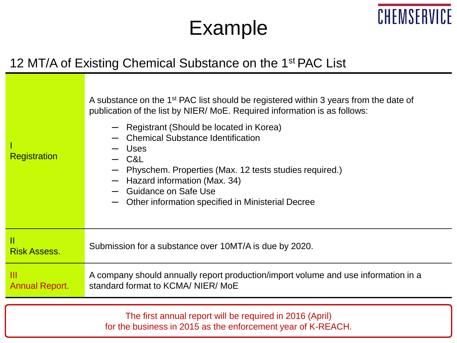### Example

CHEMSERVICE

#### 12 MT/A of Existing Chemical Substance on the 1<sup>st</sup> PAC List

| Registration               | A substance on the 1 <sup>st</sup> PAC list should be registered within 3 years from the date of<br>publication of the list by NIER/MoE. Required information is as follows:<br>- Registrant (Should be located in Korea)<br>- Chemical Substance Identification<br>— Uses<br>$-$ C&L<br>Physchem. Properties (Max. 12 tests studies required.)<br>$-$ Hazard information (Max. 34)<br>- Guidance on Safe Use<br>Other information specified in Ministerial Decree |
|----------------------------|--------------------------------------------------------------------------------------------------------------------------------------------------------------------------------------------------------------------------------------------------------------------------------------------------------------------------------------------------------------------------------------------------------------------------------------------------------------------|
| Ш<br><b>Risk Assess.</b>   | Submission for a substance over 10MT/A is due by 2020.                                                                                                                                                                                                                                                                                                                                                                                                             |
| Ш<br><b>Annual Report.</b> | A company should annually report production/import volume and use information in a<br>standard format to KCMA/ NIER/ MoE                                                                                                                                                                                                                                                                                                                                           |
|                            |                                                                                                                                                                                                                                                                                                                                                                                                                                                                    |
|                            |                                                                                                                                                                                                                                                                                                                                                                                                                                                                    |

The first annual report will be required in 2016 (April) for the business in 2015 as the enforcement year of K-REACH.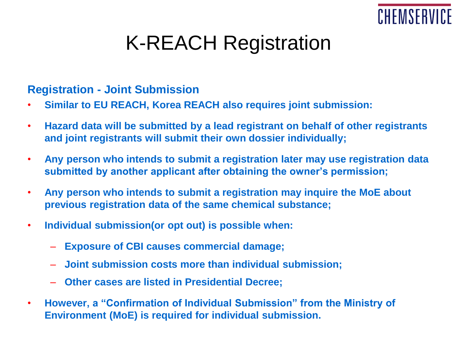

#### **Registration - Joint Submission**

- **Similar to EU REACH, Korea REACH also requires joint submission:**
- **Hazard data will be submitted by a lead registrant on behalf of other registrants and joint registrants will submit their own dossier individually;**
- **Any person who intends to submit a registration later may use registration data submitted by another applicant after obtaining the owner's permission;**
- **Any person who intends to submit a registration may inquire the MoE about previous registration data of the same chemical substance;**
- **Individual submission(or opt out) is possible when:**
	- **Exposure of CBI causes commercial damage;**
	- **Joint submission costs more than individual submission;**
	- **Other cases are listed in Presidential Decree;**
- **However, a "Confirmation of Individual Submission" from the Ministry of Environment (MoE) is required for individual submission.**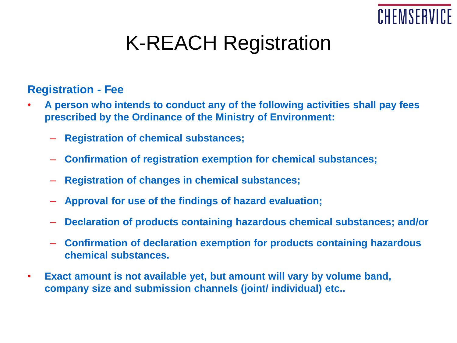

#### **Registration - Fee**

- **A person who intends to conduct any of the following activities shall pay fees prescribed by the Ordinance of the Ministry of Environment:**
	- **Registration of chemical substances;**
	- **Confirmation of registration exemption for chemical substances;**
	- **Registration of changes in chemical substances;**
	- **Approval for use of the findings of hazard evaluation;**
	- **Declaration of products containing hazardous chemical substances; and/or**
	- **Confirmation of declaration exemption for products containing hazardous chemical substances.**
- **Exact amount is not available yet, but amount will vary by volume band, company size and submission channels (joint/ individual) etc..**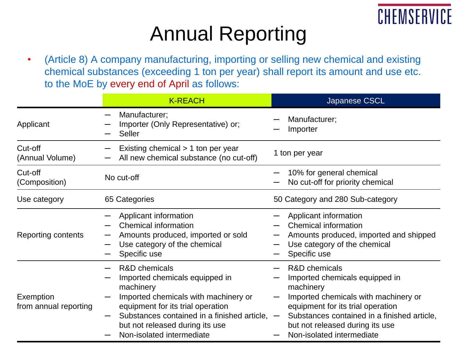

## Annual Reporting

• (Article 8) A company manufacturing, importing or selling new chemical and existing chemical substances (exceeding 1 ton per year) shall report its amount and use etc. to the MoE by every end of April as follows:

|                                    | <b>K-REACH</b>                                                                                                                                                                                                                                                          | Japanese CSCL                                                                                                                                                                                                                                                       |
|------------------------------------|-------------------------------------------------------------------------------------------------------------------------------------------------------------------------------------------------------------------------------------------------------------------------|---------------------------------------------------------------------------------------------------------------------------------------------------------------------------------------------------------------------------------------------------------------------|
| Applicant                          | Manufacturer;<br>$\overline{\phantom{m}}$<br>Importer (Only Representative) or;<br><b>Seller</b>                                                                                                                                                                        | Manufacturer;<br>Importer                                                                                                                                                                                                                                           |
| Cut-off<br>(Annual Volume)         | Existing chemical > 1 ton per year<br>All new chemical substance (no cut-off)                                                                                                                                                                                           | 1 ton per year                                                                                                                                                                                                                                                      |
| Cut-off<br>(Composition)           | No cut-off                                                                                                                                                                                                                                                              | 10% for general chemical<br>No cut-off for priority chemical                                                                                                                                                                                                        |
| Use category                       | 65 Categories                                                                                                                                                                                                                                                           | 50 Category and 280 Sub-category                                                                                                                                                                                                                                    |
| Reporting contents                 | Applicant information<br><b>Chemical information</b><br>Amounts produced, imported or sold<br>Use category of the chemical<br>Specific use                                                                                                                              | Applicant information<br>Chemical information<br>Amounts produced, imported and shipped<br>Use category of the chemical<br>Specific use                                                                                                                             |
| Exemption<br>from annual reporting | <b>R&amp;D</b> chemicals<br>Imported chemicals equipped in<br>machinery<br>Imported chemicals with machinery or<br>equipment for its trial operation<br>Substances contained in a finished article, $-$<br>but not released during its use<br>Non-isolated intermediate | <b>R&amp;D</b> chemicals<br>Imported chemicals equipped in<br>machinery<br>Imported chemicals with machinery or<br>equipment for its trial operation<br>Substances contained in a finished article,<br>but not released during its use<br>Non-isolated intermediate |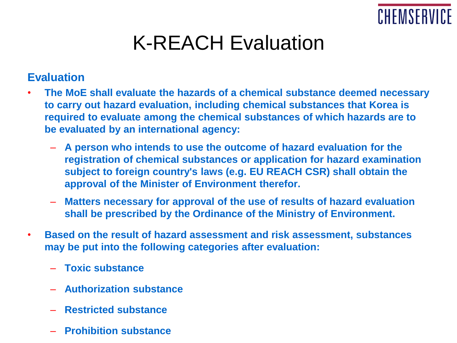

### K-REACH Evaluation

#### **Evaluation**

- **The MoE shall evaluate the hazards of a chemical substance deemed necessary to carry out hazard evaluation, including chemical substances that Korea is required to evaluate among the chemical substances of which hazards are to be evaluated by an international agency:**
	- **A person who intends to use the outcome of hazard evaluation for the registration of chemical substances or application for hazard examination subject to foreign country's laws (e.g. EU REACH CSR) shall obtain the approval of the Minister of Environment therefor.**
	- **Matters necessary for approval of the use of results of hazard evaluation shall be prescribed by the Ordinance of the Ministry of Environment.**
- **Based on the result of hazard assessment and risk assessment, substances may be put into the following categories after evaluation:**
	- **Toxic substance**
	- **Authorization substance**
	- **Restricted substance**
	- **Prohibition substance**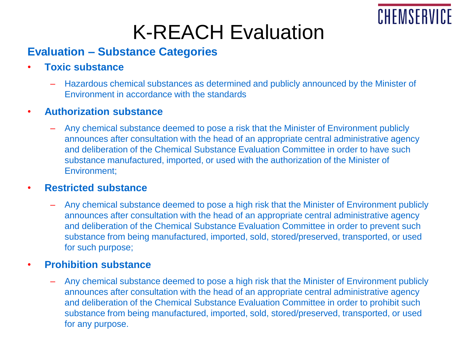

### K-REACH Evaluation

#### **Evaluation – Substance Categories**

- **Toxic substance**
	- Hazardous chemical substances as determined and publicly announced by the Minister of Environment in accordance with the standards
- **Authorization substance**
	- Any chemical substance deemed to pose a risk that the Minister of Environment publicly announces after consultation with the head of an appropriate central administrative agency and deliberation of the Chemical Substance Evaluation Committee in order to have such substance manufactured, imported, or used with the authorization of the Minister of Environment;

#### • **Restricted substance**

– Any chemical substance deemed to pose a high risk that the Minister of Environment publicly announces after consultation with the head of an appropriate central administrative agency and deliberation of the Chemical Substance Evaluation Committee in order to prevent such substance from being manufactured, imported, sold, stored/preserved, transported, or used for such purpose;

#### • **Prohibition substance**

– Any chemical substance deemed to pose a high risk that the Minister of Environment publicly announces after consultation with the head of an appropriate central administrative agency and deliberation of the Chemical Substance Evaluation Committee in order to prohibit such substance from being manufactured, imported, sold, stored/preserved, transported, or used for any purpose.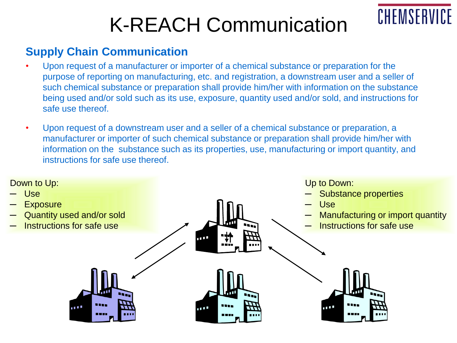# K-REACH Communication

CHEMSERVICE

#### **Supply Chain Communication**

- Upon request of a manufacturer or importer of a chemical substance or preparation for the purpose of reporting on manufacturing, etc. and registration, a downstream user and a seller of such chemical substance or preparation shall provide him/her with information on the substance being used and/or sold such as its use, exposure, quantity used and/or sold, and instructions for safe use thereof.
- Upon request of a downstream user and a seller of a chemical substance or preparation, a manufacturer or importer of such chemical substance or preparation shall provide him/her with information on the substance such as its properties, use, manufacturing or import quantity, and instructions for safe use thereof.

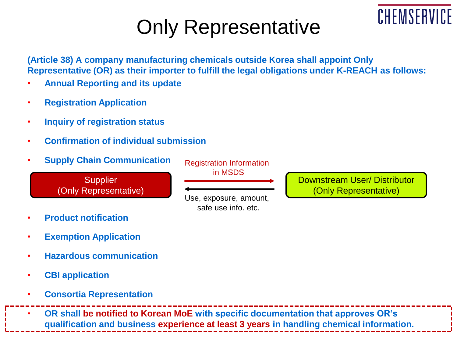## Only Representative

**(Article 38) A company manufacturing chemicals outside Korea shall appoint Only Representative (OR) as their importer to fulfill the legal obligations under K-REACH as follows:**

- **Annual Reporting and its update**
- **Registration Application**
- **Inquiry of registration status**
- **Confirmation of individual submission**
- **Supply Chain Communication**

**Supplier** (Only Representative) Registration Information in MSDS

Use, exposure, amount, safe use info. etc.

Downstream User/ Distributor (Only Representative)

CHEMSERVI

- **Product notification**
- **Exemption Application**
- **Hazardous communication**
- **CBI application**
- **Consortia Representation**

• **OR shall be notified to Korean MoE with specific documentation that approves OR's qualification and business experience at least 3 years in handling chemical information.**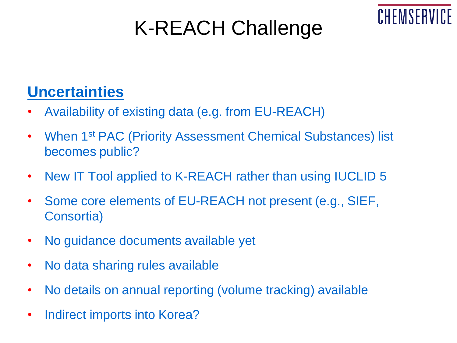# K-REACH Challenge

CHEMSERV



- Availability of existing data (e.g. from EU-REACH)
- When 1<sup>st</sup> PAC (Priority Assessment Chemical Substances) list becomes public?
- New IT Tool applied to K-REACH rather than using IUCLID 5
- Some core elements of EU-REACH not present (e.g., SIEF, Consortia)
- No guidance documents available yet
- No data sharing rules available
- No details on annual reporting (volume tracking) available
- Indirect imports into Korea?